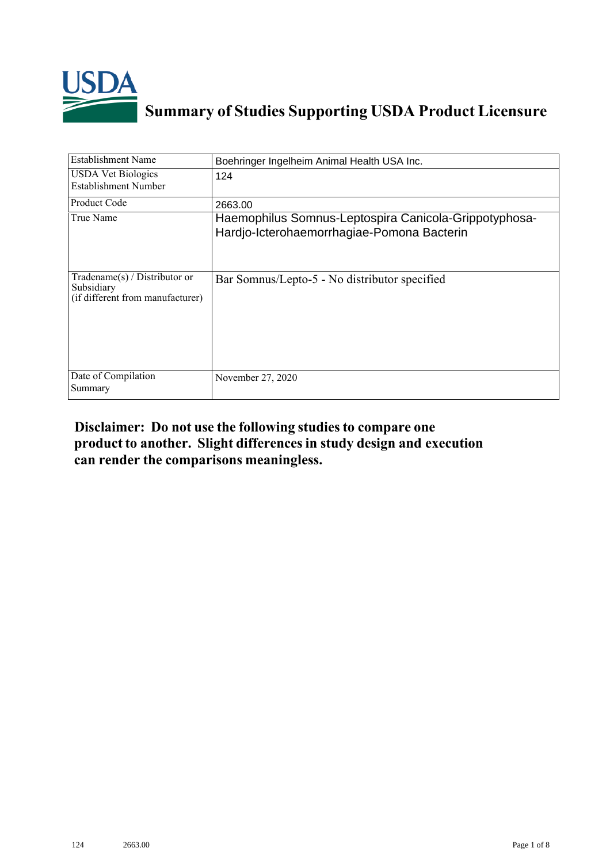

## **Summary of Studies Supporting USDA Product Licensure**

| <b>Establishment Name</b>                                                       | Boehringer Ingelheim Animal Health USA Inc.                                                         |
|---------------------------------------------------------------------------------|-----------------------------------------------------------------------------------------------------|
| <b>USDA</b> Vet Biologics<br>Establishment Number                               | 124                                                                                                 |
| <b>Product Code</b>                                                             | 2663.00                                                                                             |
| True Name                                                                       | Haemophilus Somnus-Leptospira Canicola-Grippotyphosa-<br>Hardjo-Icterohaemorrhagiae-Pomona Bacterin |
| Tradename(s) / Distributor or<br>Subsidiary<br>(if different from manufacturer) | Bar Somnus/Lepto-5 - No distributor specified                                                       |
| Date of Compilation<br>Summary                                                  | November 27, 2020                                                                                   |

## **Disclaimer: Do not use the following studiesto compare one product to another. Slight differencesin study design and execution can render the comparisons meaningless.**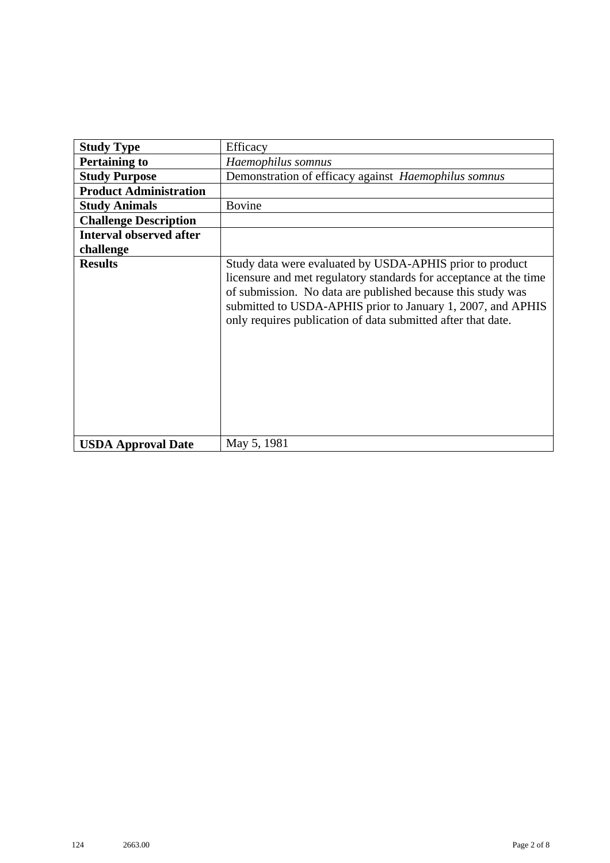| <b>Study Type</b>              | Efficacy                                                                                                                                                                                                                                                                                                                    |
|--------------------------------|-----------------------------------------------------------------------------------------------------------------------------------------------------------------------------------------------------------------------------------------------------------------------------------------------------------------------------|
| <b>Pertaining to</b>           | Haemophilus somnus                                                                                                                                                                                                                                                                                                          |
| <b>Study Purpose</b>           | Demonstration of efficacy against Haemophilus somnus                                                                                                                                                                                                                                                                        |
| <b>Product Administration</b>  |                                                                                                                                                                                                                                                                                                                             |
| <b>Study Animals</b>           | <b>Bovine</b>                                                                                                                                                                                                                                                                                                               |
| <b>Challenge Description</b>   |                                                                                                                                                                                                                                                                                                                             |
| <b>Interval observed after</b> |                                                                                                                                                                                                                                                                                                                             |
| challenge                      |                                                                                                                                                                                                                                                                                                                             |
| <b>Results</b>                 | Study data were evaluated by USDA-APHIS prior to product<br>licensure and met regulatory standards for acceptance at the time<br>of submission. No data are published because this study was<br>submitted to USDA-APHIS prior to January 1, 2007, and APHIS<br>only requires publication of data submitted after that date. |
| <b>USDA Approval Date</b>      | May 5, 1981                                                                                                                                                                                                                                                                                                                 |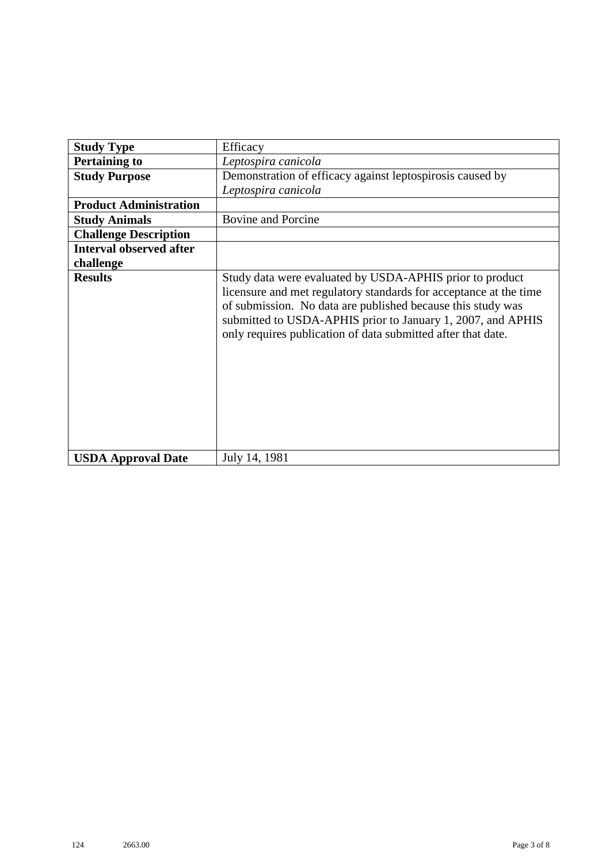| <b>Study Type</b>              | Efficacy                                                                                                                                                                                                                                                                                                                    |
|--------------------------------|-----------------------------------------------------------------------------------------------------------------------------------------------------------------------------------------------------------------------------------------------------------------------------------------------------------------------------|
| <b>Pertaining to</b>           | Leptospira canicola                                                                                                                                                                                                                                                                                                         |
| <b>Study Purpose</b>           | Demonstration of efficacy against leptospirosis caused by                                                                                                                                                                                                                                                                   |
|                                | Leptospira canicola                                                                                                                                                                                                                                                                                                         |
| <b>Product Administration</b>  |                                                                                                                                                                                                                                                                                                                             |
| <b>Study Animals</b>           | <b>Bovine and Porcine</b>                                                                                                                                                                                                                                                                                                   |
| <b>Challenge Description</b>   |                                                                                                                                                                                                                                                                                                                             |
| <b>Interval observed after</b> |                                                                                                                                                                                                                                                                                                                             |
| challenge                      |                                                                                                                                                                                                                                                                                                                             |
| <b>Results</b>                 | Study data were evaluated by USDA-APHIS prior to product<br>licensure and met regulatory standards for acceptance at the time<br>of submission. No data are published because this study was<br>submitted to USDA-APHIS prior to January 1, 2007, and APHIS<br>only requires publication of data submitted after that date. |
| <b>USDA Approval Date</b>      | July 14, 1981                                                                                                                                                                                                                                                                                                               |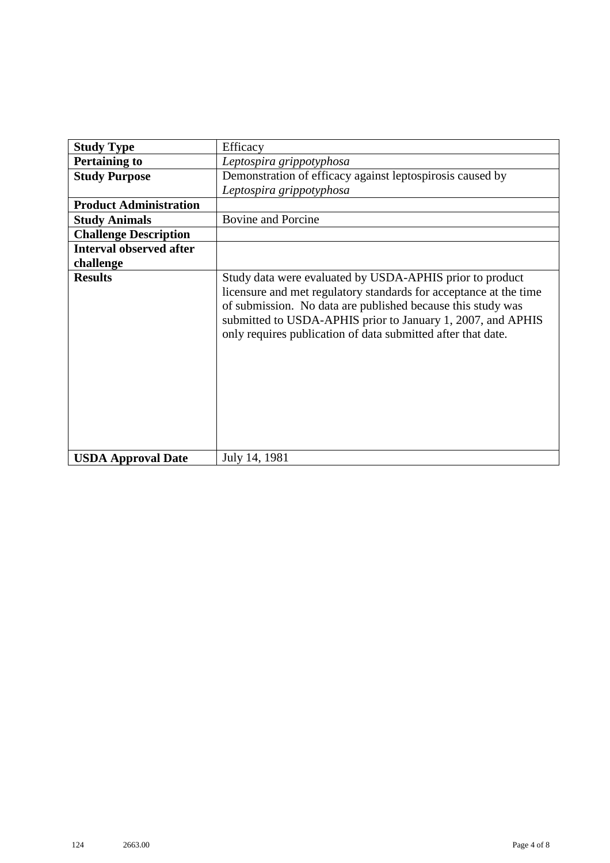| <b>Study Type</b>              | Efficacy                                                                                                                                                                                                                                                                                                                    |
|--------------------------------|-----------------------------------------------------------------------------------------------------------------------------------------------------------------------------------------------------------------------------------------------------------------------------------------------------------------------------|
| <b>Pertaining to</b>           | Leptospira grippotyphosa                                                                                                                                                                                                                                                                                                    |
| <b>Study Purpose</b>           | Demonstration of efficacy against leptospirosis caused by                                                                                                                                                                                                                                                                   |
|                                | Leptospira grippotyphosa                                                                                                                                                                                                                                                                                                    |
| <b>Product Administration</b>  |                                                                                                                                                                                                                                                                                                                             |
| <b>Study Animals</b>           | <b>Bovine and Porcine</b>                                                                                                                                                                                                                                                                                                   |
| <b>Challenge Description</b>   |                                                                                                                                                                                                                                                                                                                             |
| <b>Interval observed after</b> |                                                                                                                                                                                                                                                                                                                             |
| challenge                      |                                                                                                                                                                                                                                                                                                                             |
| <b>Results</b>                 | Study data were evaluated by USDA-APHIS prior to product<br>licensure and met regulatory standards for acceptance at the time<br>of submission. No data are published because this study was<br>submitted to USDA-APHIS prior to January 1, 2007, and APHIS<br>only requires publication of data submitted after that date. |
| <b>USDA Approval Date</b>      | July 14, 1981                                                                                                                                                                                                                                                                                                               |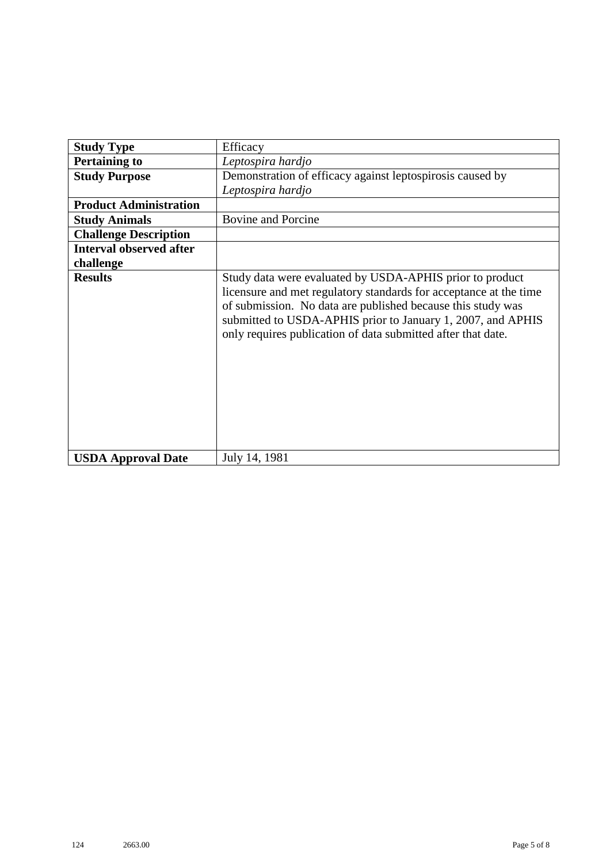| <b>Study Type</b>              | Efficacy                                                                                                                                                                                                                                                                                                                    |
|--------------------------------|-----------------------------------------------------------------------------------------------------------------------------------------------------------------------------------------------------------------------------------------------------------------------------------------------------------------------------|
| <b>Pertaining to</b>           | Leptospira hardjo                                                                                                                                                                                                                                                                                                           |
| <b>Study Purpose</b>           | Demonstration of efficacy against leptospirosis caused by                                                                                                                                                                                                                                                                   |
|                                | Leptospira hardjo                                                                                                                                                                                                                                                                                                           |
| <b>Product Administration</b>  |                                                                                                                                                                                                                                                                                                                             |
| <b>Study Animals</b>           | <b>Bovine and Porcine</b>                                                                                                                                                                                                                                                                                                   |
| <b>Challenge Description</b>   |                                                                                                                                                                                                                                                                                                                             |
| <b>Interval observed after</b> |                                                                                                                                                                                                                                                                                                                             |
| challenge                      |                                                                                                                                                                                                                                                                                                                             |
| <b>Results</b>                 | Study data were evaluated by USDA-APHIS prior to product<br>licensure and met regulatory standards for acceptance at the time<br>of submission. No data are published because this study was<br>submitted to USDA-APHIS prior to January 1, 2007, and APHIS<br>only requires publication of data submitted after that date. |
| <b>USDA Approval Date</b>      | July 14, 1981                                                                                                                                                                                                                                                                                                               |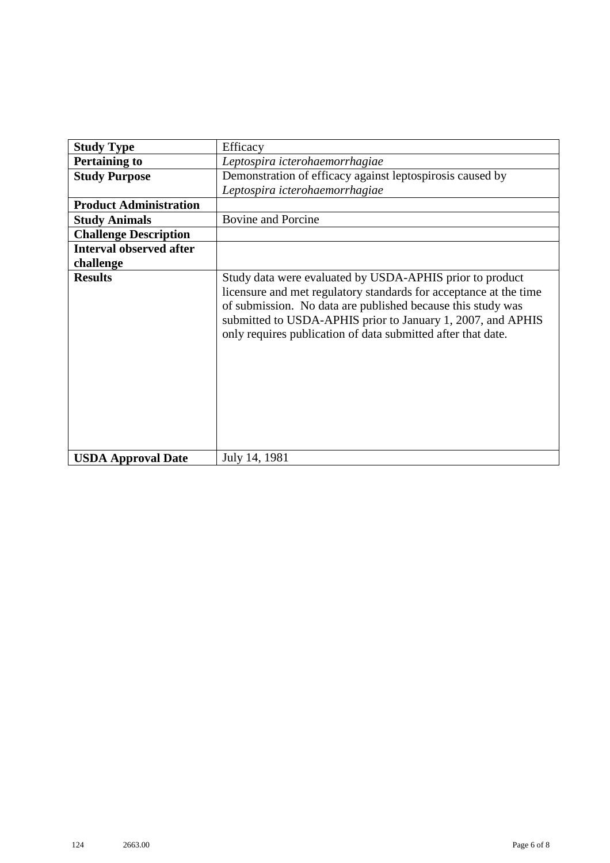| <b>Study Type</b>              | Efficacy                                                                                                                                                                                                                                                                                                                    |
|--------------------------------|-----------------------------------------------------------------------------------------------------------------------------------------------------------------------------------------------------------------------------------------------------------------------------------------------------------------------------|
| <b>Pertaining to</b>           | Leptospira icterohaemorrhagiae                                                                                                                                                                                                                                                                                              |
| <b>Study Purpose</b>           | Demonstration of efficacy against leptospirosis caused by                                                                                                                                                                                                                                                                   |
|                                | Leptospira icterohaemorrhagiae                                                                                                                                                                                                                                                                                              |
| <b>Product Administration</b>  |                                                                                                                                                                                                                                                                                                                             |
| <b>Study Animals</b>           | <b>Bovine and Porcine</b>                                                                                                                                                                                                                                                                                                   |
| <b>Challenge Description</b>   |                                                                                                                                                                                                                                                                                                                             |
| <b>Interval observed after</b> |                                                                                                                                                                                                                                                                                                                             |
| challenge                      |                                                                                                                                                                                                                                                                                                                             |
| <b>Results</b>                 | Study data were evaluated by USDA-APHIS prior to product<br>licensure and met regulatory standards for acceptance at the time<br>of submission. No data are published because this study was<br>submitted to USDA-APHIS prior to January 1, 2007, and APHIS<br>only requires publication of data submitted after that date. |
| <b>USDA Approval Date</b>      | July 14, 1981                                                                                                                                                                                                                                                                                                               |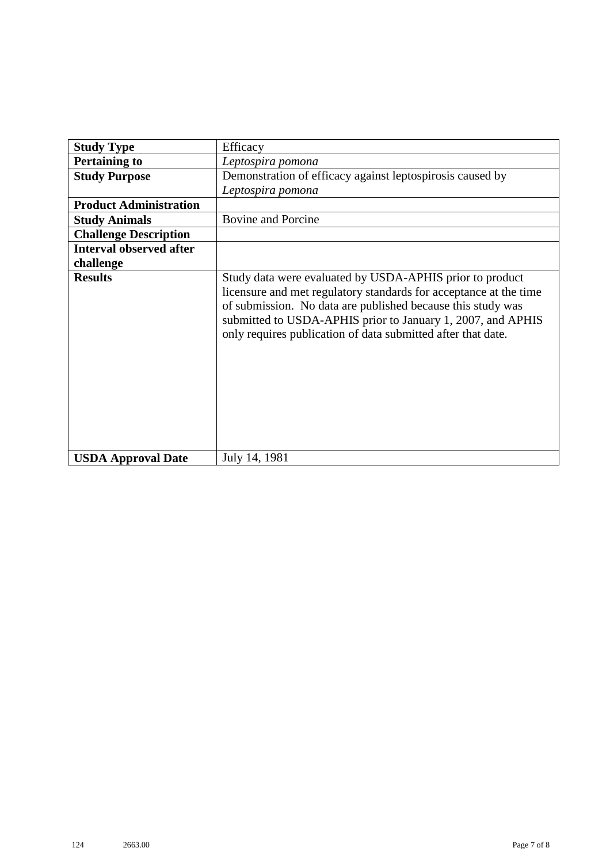| <b>Study Type</b>              | Efficacy                                                                                                                                                                                                                                                                                                                    |
|--------------------------------|-----------------------------------------------------------------------------------------------------------------------------------------------------------------------------------------------------------------------------------------------------------------------------------------------------------------------------|
| <b>Pertaining to</b>           | Leptospira pomona                                                                                                                                                                                                                                                                                                           |
| <b>Study Purpose</b>           | Demonstration of efficacy against leptospirosis caused by                                                                                                                                                                                                                                                                   |
|                                | Leptospira pomona                                                                                                                                                                                                                                                                                                           |
| <b>Product Administration</b>  |                                                                                                                                                                                                                                                                                                                             |
| <b>Study Animals</b>           | <b>Bovine and Porcine</b>                                                                                                                                                                                                                                                                                                   |
| <b>Challenge Description</b>   |                                                                                                                                                                                                                                                                                                                             |
| <b>Interval observed after</b> |                                                                                                                                                                                                                                                                                                                             |
| challenge                      |                                                                                                                                                                                                                                                                                                                             |
| <b>Results</b>                 | Study data were evaluated by USDA-APHIS prior to product<br>licensure and met regulatory standards for acceptance at the time<br>of submission. No data are published because this study was<br>submitted to USDA-APHIS prior to January 1, 2007, and APHIS<br>only requires publication of data submitted after that date. |
| <b>USDA Approval Date</b>      | July 14, 1981                                                                                                                                                                                                                                                                                                               |